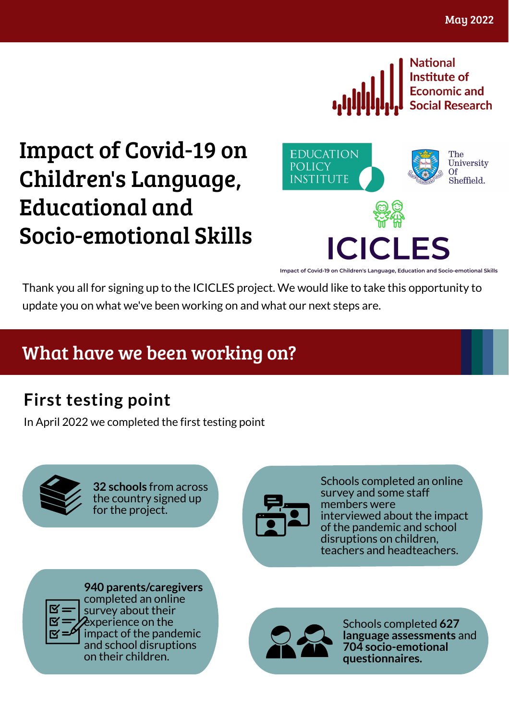

# Impact of Covid-19 on Children's Language, Educational and Socio-emotional Skills



Impact of Covid-19 on Children's Language, Education and Socio-emotional Skills

ICI

Thank you all for signing up to the ICICLES project. We would like to take this opportunity to update you on what we've been working on and what our next steps are.

### What have we been working on?

**First testing point**<br>In April 2022 we completed the first testing point



**32 schools** from across<br>the country signed up<br>for the project.



ple t e d a n o nlin e survey and some staff members were interviewed about the impact of the pandemic and school<br>disruptions on children,<br>teachers and headteachers.



**940 parents/caregivers**<br>completed an online<br>survey about their<br>experience on the<br>impact of the pandemic Experience on the impact of the pandemic<br>and school disruptions on their children. Schools completed **627**<br>on their children. Schools completed **627**<br>all the sessments are assessments as<br>all the sessments are all the sessm



n d **7 0 4 s o c i o - e m o t i o n al questionnaires.**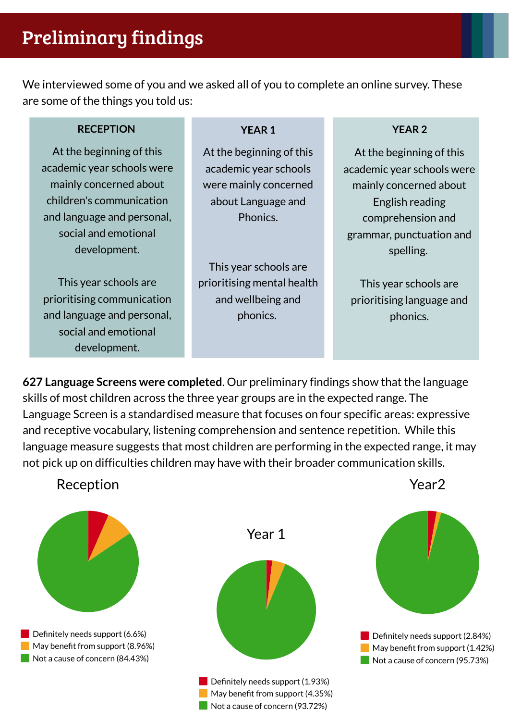## Preliminary findings

We interviewed some of you and we asked all of you to complete an online survey. These are some of the things you told us:

### **RECEPTION YEAR 1 YEAR 2**

At the beginning of this academic year schools were mainly concerned about children's communication and language and personal, social and emotional development.

This year schools are prioritising communication and language and personal, social and emotional development.

At the beginning of this academic year schools were mainly concerned about Language and **Phonics** 

This year schools are prioritising mental health and wellbeing and phonics.

At the beginning of this academic year schools were mainly concerned about English reading comprehension and grammar, punctuation and spelling.

This year schools are prioritising language and phonics.

**627 Language Screens were completed**. Our preliminary findings show that the language skills of most children across the three year groups are in the expected range. The Language Screen is a standardised measure that focuses on four specific areas: expressive and receptive vocabulary, listening comprehension and sentence repetition. While this language measure suggests that most children are performing in the expected range, it may not pick up on difficulties children may have with their broader communication skills.

Reception



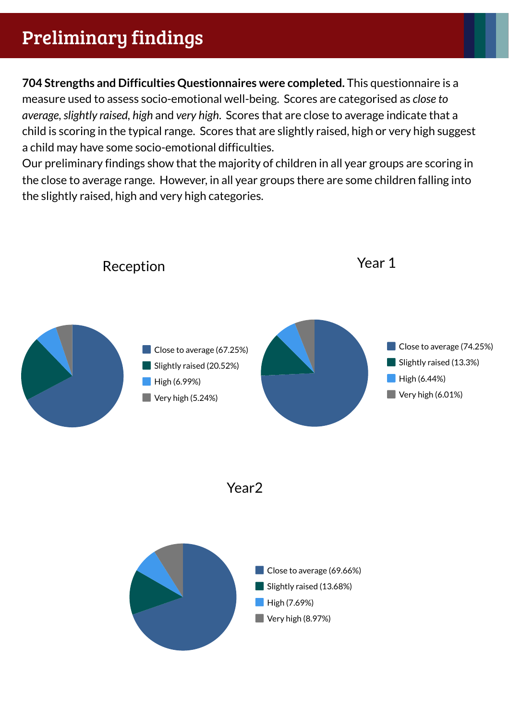## Preliminary findings

**704 Strengths and Difficulties Questionnaires were completed.** This questionnaire is a measure used to assess socio-emotional well-being. Scores are categorised as *close to average,slightly raised, high* and *very high*. Scores that are close to average indicate that a child is scoring in the typical range. Scores that are slightly raised, high or very high suggest a child may have some socio-emotional difficulties.

Our preliminary findings show that the majority of children in all year groups are scoring in the close to average range. However, in all year groups there are some children falling into the slightly raised, high and very high categories.